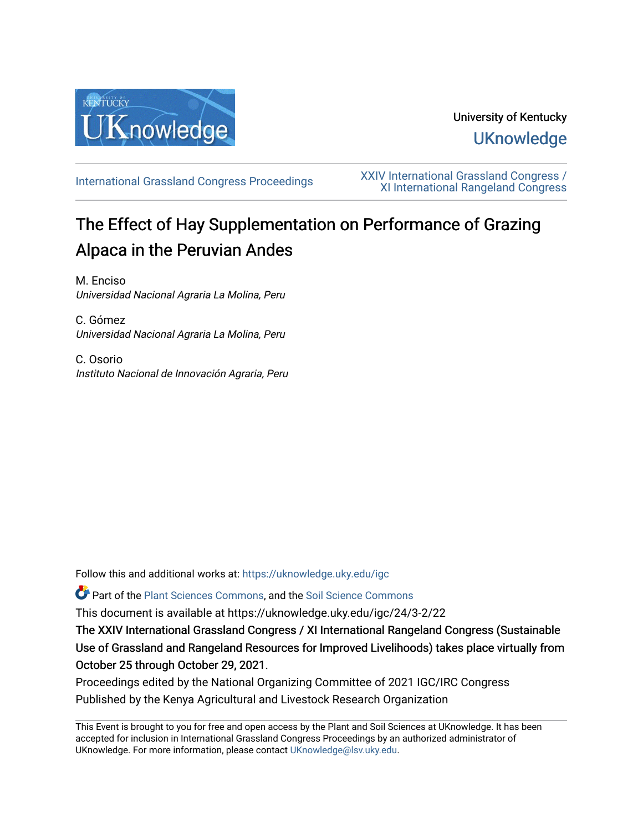

## University of Kentucky **UKnowledge**

[International Grassland Congress Proceedings](https://uknowledge.uky.edu/igc) [XXIV International Grassland Congress /](https://uknowledge.uky.edu/igc/24)  [XI International Rangeland Congress](https://uknowledge.uky.edu/igc/24) 

# The Effect of Hay Supplementation on Performance of Grazing Alpaca in the Peruvian Andes

M. Enciso Universidad Nacional Agraria La Molina, Peru

C. Gómez Universidad Nacional Agraria La Molina, Peru

C. Osorio Instituto Nacional de Innovación Agraria, Peru

Follow this and additional works at: [https://uknowledge.uky.edu/igc](https://uknowledge.uky.edu/igc?utm_source=uknowledge.uky.edu%2Figc%2F24%2F3-2%2F22&utm_medium=PDF&utm_campaign=PDFCoverPages) 

Part of the [Plant Sciences Commons](http://network.bepress.com/hgg/discipline/102?utm_source=uknowledge.uky.edu%2Figc%2F24%2F3-2%2F22&utm_medium=PDF&utm_campaign=PDFCoverPages), and the [Soil Science Commons](http://network.bepress.com/hgg/discipline/163?utm_source=uknowledge.uky.edu%2Figc%2F24%2F3-2%2F22&utm_medium=PDF&utm_campaign=PDFCoverPages) 

This document is available at https://uknowledge.uky.edu/igc/24/3-2/22

The XXIV International Grassland Congress / XI International Rangeland Congress (Sustainable Use of Grassland and Rangeland Resources for Improved Livelihoods) takes place virtually from October 25 through October 29, 2021.

Proceedings edited by the National Organizing Committee of 2021 IGC/IRC Congress Published by the Kenya Agricultural and Livestock Research Organization

This Event is brought to you for free and open access by the Plant and Soil Sciences at UKnowledge. It has been accepted for inclusion in International Grassland Congress Proceedings by an authorized administrator of UKnowledge. For more information, please contact [UKnowledge@lsv.uky.edu](mailto:UKnowledge@lsv.uky.edu).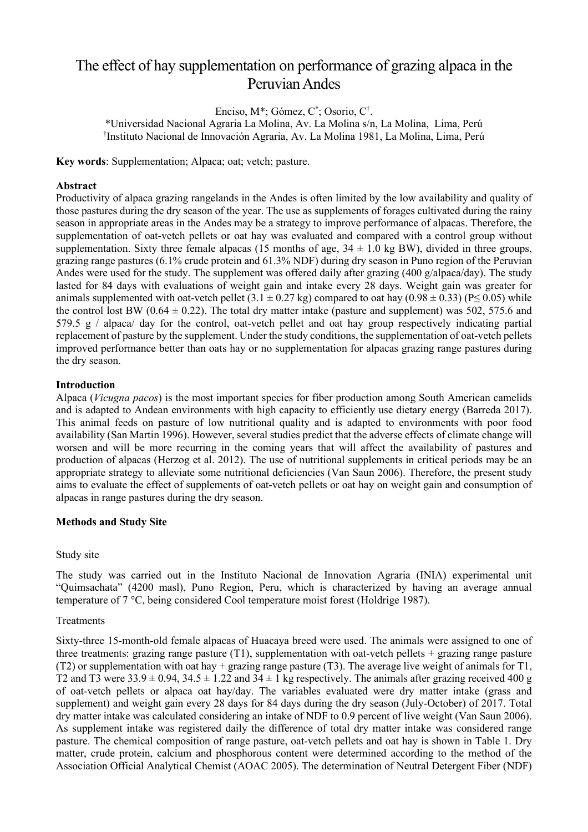### The effect of hay supplementation on performance of grazing alpaca in the Peruvian Andes

Enciso, M\*; Gómez, C\* ; Osorio, C† .

\*Universidad Nacional Agraria La Molina, Av. La Molina s/n, La Molina, Lima, Perú † Instituto Nacional de Innovación Agraria, Av. La Molina 1981, La Molina, Lima, Perú

**Key words**: Supplementation; Alpaca; oat; vetch; pasture.

#### **Abstract**

Productivity of alpaca grazing rangelands in the Andes is often limited by the low availability and quality of those pastures during the dry season of the year. The use as supplements of forages cultivated during the rainy season in appropriate areas in the Andes may be a strategy to improve performance of alpacas. Therefore, the supplementation of oat-vetch pellets or oat hay was evaluated and compared with a control group without supplementation. Sixty three female alpacas (15 months of age,  $34 \pm 1.0$  kg BW), divided in three groups, grazing range pastures (6.1% crude protein and 61.3% NDF) during dry season in Puno region of the Peruvian Andes were used for the study. The supplement was offered daily after grazing  $(400 \text{ g/alpaca/day})$ . The study lasted for 84 days with evaluations of weight gain and intake every 28 days. Weight gain was greater for animals supplemented with oat-vetch pellet  $(3.1 \pm 0.27 \text{ kg})$  compared to oat hay  $(0.98 \pm 0.33)$  (P $\leq$  0.05) while the control lost BW (0.64  $\pm$  0.22). The total dry matter intake (pasture and supplement) was 502, 575.6 and 579.5 g / alpaca/ day for the control, oat-vetch pellet and oat hay group respectively indicating partial replacement of pasture by the supplement. Under the study conditions, the supplementation of oat-vetch pellets improved performance better than oats hay or no supplementation for alpacas grazing range pastures during the dry season.

#### **Introduction**

Alpaca (*Vicugna pacos*) is the most important species for fiber production among South American camelids and is adapted to Andean environments with high capacity to efficiently use dietary energy (Barreda 2017). This animal feeds on pasture of low nutritional quality and is adapted to environments with poor food availability (San Martin 1996). However, several studies predict that the adverse effects of climate change will worsen and will be more recurring in the coming years that will affect the availability of pastures and production of alpacas (Herzog et al. 2012). The use of nutritional supplements in critical periods may be an appropriate strategy to alleviate some nutritional deficiencies (Van Saun 2006). Therefore, the present study aims to evaluate the effect of supplements of oat-vetch pellets or oat hay on weight gain and consumption of alpacas in range pastures during the dry season.

#### **Methods and Study Site**

#### Study site

The study was carried out in the Instituto Nacional de Innovation Agraria (INIA) experimental unit "Quimsachata" (4200 masl), Puno Region, Peru, which is characterized by having an average annual temperature of 7 °C, being considered Cool temperature moist forest (Holdrige 1987).

#### Treatments

Sixty-three 15-month-old female alpacas of Huacaya breed were used. The animals were assigned to one of three treatments: grazing range pasture  $(T1)$ , supplementation with oat-vetch pellets  $+$  grazing range pasture (T2) or supplementation with oat hay + grazing range pasture (T3). The average live weight of animals for T1, T2 and T3 were  $33.9 \pm 0.94$ ,  $34.5 \pm 1.22$  and  $34 \pm 1$  kg respectively. The animals after grazing received 400 g of oat-vetch pellets or alpaca oat hay/day. The variables evaluated were dry matter intake (grass and supplement) and weight gain every 28 days for 84 days during the dry season (July-October) of 2017. Total dry matter intake was calculated considering an intake of NDF to 0.9 percent of live weight (Van Saun 2006). As supplement intake was registered daily the difference of total dry matter intake was considered range pasture. The chemical composition of range pasture, oat-vetch pellets and oat hay is shown in Table 1. Dry matter, crude protein, calcium and phosphorous content were determined according to the method of the Association Official Analytical Chemist (AOAC 2005). The determination of Neutral Detergent Fiber (NDF)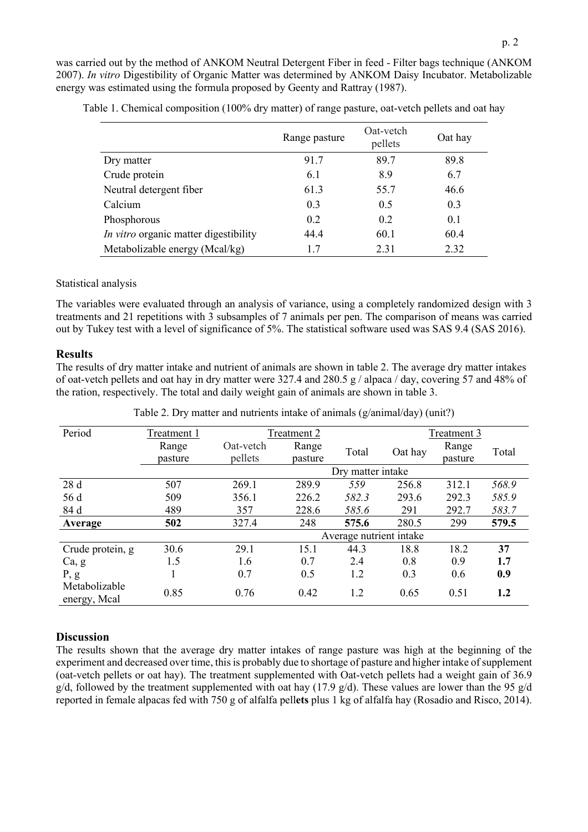was carried out by the method of ANKOM Neutral Detergent Fiber in feed - Filter bags technique (ANKOM 2007). *In vitro* Digestibility of Organic Matter was determined by ANKOM Daisy Incubator. Metabolizable energy was estimated using the formula proposed by Geenty and Rattray (1987).

|                                       | Range pasture | Oat-vetch<br>pellets | Oat hay |
|---------------------------------------|---------------|----------------------|---------|
| Dry matter                            | 91.7          | 89.7                 | 89.8    |
| Crude protein                         | 6.1           | 8.9                  | 6.7     |
| Neutral detergent fiber               | 61.3          | 55.7                 | 46.6    |
| Calcium                               | 0.3           | 0.5                  | 0.3     |
| Phosphorous                           | 0.2           | 0.2                  | 0.1     |
| In vitro organic matter digestibility | 44.4          | 60.1                 | 60.4    |
| Metabolizable energy (Mcal/kg)        | 1.7           | 2.31                 | 2.32    |

Table 1. Chemical composition (100% dry matter) of range pasture, oat-vetch pellets and oat hay

#### Statistical analysis

The variables were evaluated through an analysis of variance, using a completely randomized design with 3 treatments and 21 repetitions with 3 subsamples of 7 animals per pen. The comparison of means was carried out by Tukey test with a level of significance of 5%. The statistical software used was SAS 9.4 (SAS 2016).

#### **Results**

The results of dry matter intake and nutrient of animals are shown in table 2. The average dry matter intakes of oat-vetch pellets and oat hay in dry matter were 327.4 and 280.5 g / alpaca / day, covering 57 and 48% of the ration, respectively. The total and daily weight gain of animals are shown in table 3.

| Period                        | Treatment 1 | Treatment 2                 |         |                   | Treatment 3 |         |       |
|-------------------------------|-------------|-----------------------------|---------|-------------------|-------------|---------|-------|
|                               | Range       | Range<br>Oat-vetch<br>Total | Oat hay | Range             | Total       |         |       |
|                               | pasture     | pellets                     | pasture |                   |             | pasture |       |
|                               |             |                             |         | Dry matter intake |             |         |       |
| 28 d                          | 507         | 269.1                       | 289.9   | 559               | 256.8       | 312.1   | 568.9 |
| 56 d                          | 509         | 356.1                       | 226.2   | 582.3             | 293.6       | 292.3   | 585.9 |
| 84 d                          | 489         | 357                         | 228.6   | 585.6             | 291         | 292.7   | 583.7 |
| Average                       | 502         | 327.4                       | 248     | 575.6             | 280.5       | 299     | 579.5 |
|                               |             | Average nutrient intake     |         |                   |             |         |       |
| Crude protein, g              | 30.6        | 29.1                        | 15.1    | 44.3              | 18.8        | 18.2    | 37    |
| Ca, g                         | 1.5         | 1.6                         | 0.7     | 2.4               | 0.8         | 0.9     | 1.7   |
| P, g                          | 1           | 0.7                         | 0.5     | 1.2               | 0.3         | 0.6     | 0.9   |
| Metabolizable<br>energy, Mcal | 0.85        | 0.76                        | 0.42    | 1.2               | 0.65        | 0.51    | 1.2   |

Table 2. Dry matter and nutrients intake of animals (g/animal/day) (unit?)

#### **Discussion**

The results shown that the average dry matter intakes of range pasture was high at the beginning of the experiment and decreased over time, this is probably due to shortage of pasture and higher intake of supplement (oat-vetch pellets or oat hay). The treatment supplemented with Oat-vetch pellets had a weight gain of 36.9 g/d, followed by the treatment supplemented with oat hay (17.9 g/d). These values are lower than the 95 g/d reported in female alpacas fed with 750 g of alfalfa pell**ets** plus 1 kg of alfalfa hay (Rosadio and Risco, 2014).